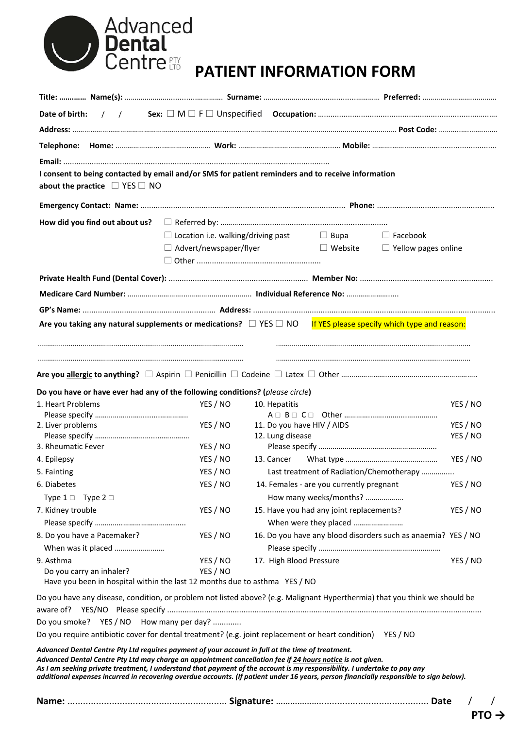| Advanced<br><b>Dental</b><br><b>Centre</b> fin |
|------------------------------------------------|
|                                                |

# **PATIENT INFORMATION FORM**

| I consent to being contacted by email and/or SMS for patient reminders and to receive information                                                                                                                                                           |                                                                       |                                                 |                                                                                        |                            |                                              |  |
|-------------------------------------------------------------------------------------------------------------------------------------------------------------------------------------------------------------------------------------------------------------|-----------------------------------------------------------------------|-------------------------------------------------|----------------------------------------------------------------------------------------|----------------------------|----------------------------------------------|--|
| about the practice $\Box$ YES $\Box$ NO                                                                                                                                                                                                                     |                                                                       |                                                 |                                                                                        |                            |                                              |  |
|                                                                                                                                                                                                                                                             |                                                                       |                                                 |                                                                                        |                            |                                              |  |
| How did you find out about us?                                                                                                                                                                                                                              |                                                                       |                                                 |                                                                                        |                            |                                              |  |
|                                                                                                                                                                                                                                                             | $\Box$ Location i.e. walking/driving past $\Box$ Bupa $\Box$ Facebook |                                                 |                                                                                        |                            |                                              |  |
|                                                                                                                                                                                                                                                             |                                                                       | $\Box$ Advert/newspaper/flyer<br>$\Box$ Website |                                                                                        | $\Box$ Yellow pages online |                                              |  |
|                                                                                                                                                                                                                                                             |                                                                       |                                                 |                                                                                        |                            |                                              |  |
|                                                                                                                                                                                                                                                             |                                                                       |                                                 |                                                                                        |                            |                                              |  |
|                                                                                                                                                                                                                                                             |                                                                       |                                                 |                                                                                        |                            |                                              |  |
|                                                                                                                                                                                                                                                             |                                                                       |                                                 |                                                                                        |                            |                                              |  |
| Are you taking any natural supplements or medications? $\Box$ YES $\Box$ NO If YES please specify which type and reason:                                                                                                                                    |                                                                       |                                                 |                                                                                        |                            |                                              |  |
|                                                                                                                                                                                                                                                             |                                                                       |                                                 |                                                                                        |                            |                                              |  |
|                                                                                                                                                                                                                                                             | YES / NO                                                              | 10. Hepatitis                                   |                                                                                        |                            |                                              |  |
|                                                                                                                                                                                                                                                             | YES / NO<br>YES / NO                                                  | 11. Do you have HIV / AIDS<br>12. Lung disease  |                                                                                        |                            |                                              |  |
|                                                                                                                                                                                                                                                             | YES / NO                                                              | 13. Cancer                                      |                                                                                        |                            |                                              |  |
|                                                                                                                                                                                                                                                             | YES / NO                                                              |                                                 | Last treatment of Radiation/Chemotherapy                                               |                            | YES / NO<br>YES / NO<br>YES / NO<br>YES / NO |  |
|                                                                                                                                                                                                                                                             | YES / NO                                                              |                                                 | 14. Females - are you currently pregnant                                               |                            |                                              |  |
| Type $1 \square$ Type $2 \square$                                                                                                                                                                                                                           |                                                                       |                                                 | How many weeks/months?                                                                 |                            | YES / NO                                     |  |
| Do you have or have ever had any of the following conditions? (please circle)<br>1. Heart Problems<br>2. Liver problems<br>3. Rheumatic Fever<br>4. Epilepsy<br>5. Fainting<br>6. Diabetes<br>7. Kidney trouble                                             | YES / NO                                                              |                                                 | 15. Have you had any joint replacements?                                               |                            | YES / NO                                     |  |
| 8. Do you have a Pacemaker?                                                                                                                                                                                                                                 | YES / NO                                                              |                                                 | When were they placed<br>16. Do you have any blood disorders such as anaemia? YES / NO |                            |                                              |  |
| When was it placed                                                                                                                                                                                                                                          |                                                                       |                                                 |                                                                                        |                            |                                              |  |
| 9. Asthma                                                                                                                                                                                                                                                   | YES / NO                                                              | 17. High Blood Pressure                         |                                                                                        |                            | YES / NO                                     |  |
| Do you carry an inhaler?                                                                                                                                                                                                                                    | YES / NO                                                              |                                                 |                                                                                        |                            |                                              |  |
| Have you been in hospital within the last 12 months due to asthma YES / NO                                                                                                                                                                                  |                                                                       |                                                 |                                                                                        |                            |                                              |  |
|                                                                                                                                                                                                                                                             |                                                                       |                                                 |                                                                                        |                            |                                              |  |
| Do you have any disease, condition, or problem not listed above? (e.g. Malignant Hyperthermia) that you think we should be                                                                                                                                  |                                                                       |                                                 |                                                                                        |                            |                                              |  |
|                                                                                                                                                                                                                                                             |                                                                       |                                                 |                                                                                        |                            |                                              |  |
| Do you smoke? YES / NO How many per day?<br>Do you require antibiotic cover for dental treatment? (e.g. joint replacement or heart condition) YES / NO<br>Advanced Dental Centre Pty Ltd requires payment of your account in full at the time of treatment. |                                                                       |                                                 |                                                                                        |                            |                                              |  |

**PTO →**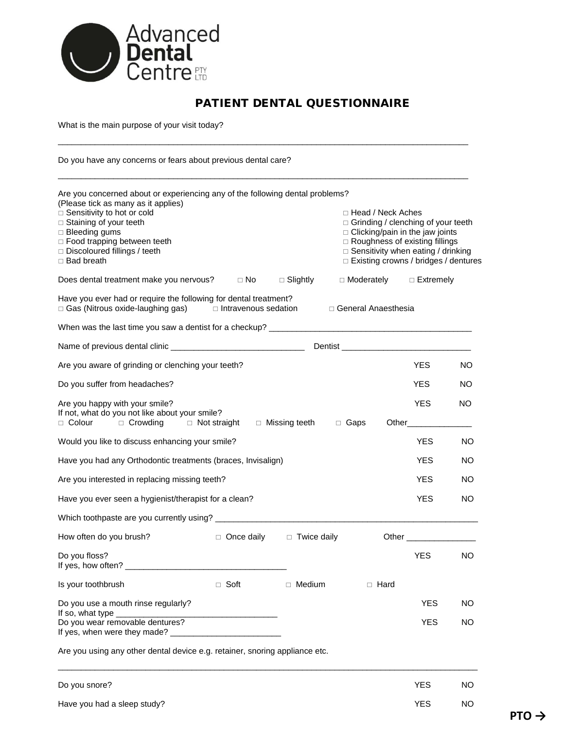

# PATIENT DENTAL QUESTIONNAIRE

\_\_\_\_\_\_\_\_\_\_\_\_\_\_\_\_\_\_\_\_\_\_\_\_\_\_\_\_\_\_\_\_\_\_\_\_\_\_\_\_\_\_\_\_\_\_\_\_\_\_\_\_\_\_\_\_\_\_\_\_\_\_\_\_\_\_\_\_\_\_\_\_\_\_\_\_\_\_\_\_\_\_\_\_\_\_\_\_\_

What is the main purpose of your visit today?

Do you have any concerns or fears about previous dental care?

| Are you concerned about or experiencing any of the following dental problems?<br>(Please tick as many as it applies)<br>□ Sensitivity to hot or cold<br>□ Staining of your teeth<br>□ Bleeding gums<br>□ Food trapping between teeth<br>Discoloured fillings / teeth<br>$\Box$ Bad breath |                        |                                      | □ Head / Neck Aches<br>□ Grinding / clenching of your teeth<br>$\Box$ Clicking/pain in the jaw joints<br>□ Roughness of existing fillings<br>□ Sensitivity when eating / drinking<br>□ Existing crowns / bridges / dentures |                                                                                                                                                                                                                                     |           |  |
|-------------------------------------------------------------------------------------------------------------------------------------------------------------------------------------------------------------------------------------------------------------------------------------------|------------------------|--------------------------------------|-----------------------------------------------------------------------------------------------------------------------------------------------------------------------------------------------------------------------------|-------------------------------------------------------------------------------------------------------------------------------------------------------------------------------------------------------------------------------------|-----------|--|
| Does dental treatment make you nervous?                                                                                                                                                                                                                                                   | $\Box$ No              | $\Box$ Slightly                      | $\Box$ Moderately $\Box$ Extremely                                                                                                                                                                                          |                                                                                                                                                                                                                                     |           |  |
| Have you ever had or require the following for dental treatment?<br>□ Gas (Nitrous oxide-laughing gas) □ Intravenous sedation                                                                                                                                                             |                        |                                      | □ General Anaesthesia                                                                                                                                                                                                       |                                                                                                                                                                                                                                     |           |  |
|                                                                                                                                                                                                                                                                                           |                        |                                      |                                                                                                                                                                                                                             |                                                                                                                                                                                                                                     |           |  |
|                                                                                                                                                                                                                                                                                           |                        |                                      |                                                                                                                                                                                                                             |                                                                                                                                                                                                                                     |           |  |
| Are you aware of grinding or clenching your teeth?                                                                                                                                                                                                                                        |                        |                                      |                                                                                                                                                                                                                             | YES.                                                                                                                                                                                                                                | NO.       |  |
| Do you suffer from headaches?                                                                                                                                                                                                                                                             |                        |                                      |                                                                                                                                                                                                                             | YES.                                                                                                                                                                                                                                | NO.       |  |
| Are you happy with your smile?<br>If not, what do you not like about your smile?<br>□ Colour □ Crowding □ Not straight                                                                                                                                                                    |                        | □ Missing teeth □ Gaps               |                                                                                                                                                                                                                             | <b>YES</b><br>Other_______                                                                                                                                                                                                          | <b>NO</b> |  |
| Would you like to discuss enhancing your smile?                                                                                                                                                                                                                                           |                        |                                      |                                                                                                                                                                                                                             | <b>YES</b>                                                                                                                                                                                                                          | <b>NO</b> |  |
| Have you had any Orthodontic treatments (braces, Invisalign)                                                                                                                                                                                                                              |                        |                                      |                                                                                                                                                                                                                             | <b>YES</b>                                                                                                                                                                                                                          | NO.       |  |
| Are you interested in replacing missing teeth?                                                                                                                                                                                                                                            |                        |                                      |                                                                                                                                                                                                                             | <b>YES</b>                                                                                                                                                                                                                          | NO.       |  |
| Have you ever seen a hygienist/therapist for a clean?                                                                                                                                                                                                                                     |                        |                                      |                                                                                                                                                                                                                             | <b>YES</b>                                                                                                                                                                                                                          | NO.       |  |
|                                                                                                                                                                                                                                                                                           |                        |                                      |                                                                                                                                                                                                                             |                                                                                                                                                                                                                                     |           |  |
| How often do you brush?                                                                                                                                                                                                                                                                   |                        | $\Box$ Once daily $\Box$ Twice daily |                                                                                                                                                                                                                             | Other <u>and</u> the contract of the contract of the contract of the contract of the contract of the contract of the contract of the contract of the contract of the contract of the contract of the contract of the contract of th |           |  |
| Do you floss?                                                                                                                                                                                                                                                                             |                        |                                      |                                                                                                                                                                                                                             | <b>YES</b>                                                                                                                                                                                                                          | NO        |  |
| Is your toothbrush                                                                                                                                                                                                                                                                        | □ Soft □ Medium □ Hard |                                      |                                                                                                                                                                                                                             |                                                                                                                                                                                                                                     |           |  |
| Do you use a mouth rinse regularly?                                                                                                                                                                                                                                                       |                        |                                      |                                                                                                                                                                                                                             | <b>YES</b>                                                                                                                                                                                                                          | NO        |  |
| If so, what type<br>Do you wear removable dentures?                                                                                                                                                                                                                                       |                        |                                      |                                                                                                                                                                                                                             | <b>YES</b>                                                                                                                                                                                                                          | NO.       |  |

| Do you snore?               | <b>YES</b> | NO. |
|-----------------------------|------------|-----|
| Have you had a sleep study? | <b>YES</b> | NO. |